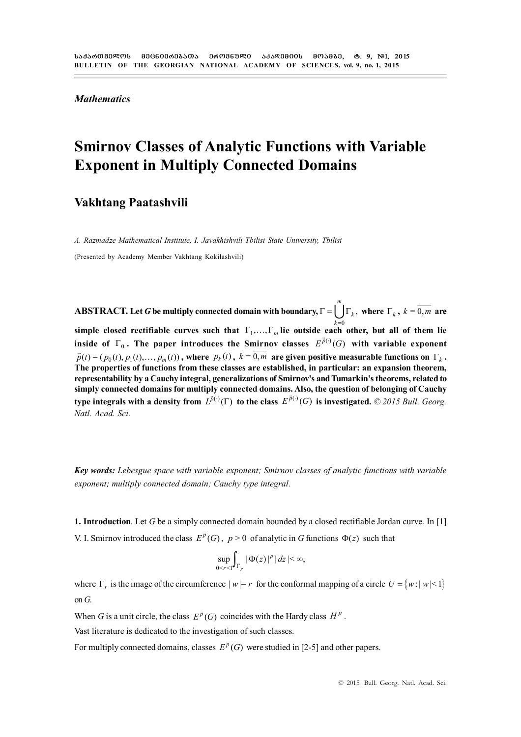*Mathematics*

# **Smirnov Classes of Analytic Functions with Variable Exponent in Multiply Connected Domains**

### **Vakhtang Paatashvili**

*A. Razmadze Mathematical Institute, I. Javakhishvili Tbilisi State University, Tbilisi*

(Presented by Academy Member Vakhtang Kokilashvili)

 $\bf ABSTRACT.$  Let  $\bm{G}$  be multiply connected domain with boundary,  $\Gamma = [\;\;] \Gamma_k,$  $\lim_{k\to 0}$  rectifiable curves such that  $\Gamma_1,...,\Gamma_m$  lie outside each other, but all of them lie *m*  $\Gamma = \bigcup \Gamma_k$ , where  $\Gamma_k$ ,  $k = \overline{0,m}$  are **inside of**  $\Gamma_0$ . The paper introduces the Smirnov classes  $E^{\bar{p}(\cdot)}(G)$  with variable exponent  $\vec{p}(t) = (p_0(t), p_1(t), \dots, p_m(t))$ , where  $p_k(t)$ ,  $k = \overline{0,m}$  are given positive measurable functions on  $\Gamma_k$ . **The properties of functions from these classes are established, in particular: an expansion theorem, representability by a Cauchy integral, generalizations of Smirnov's and Tumarkin's theorems, related to simply connected domains for multiply connected domains. Also, the question of belonging of Cauchy** type integrals with a density from  $L^{\bar{p}(.)}(\Gamma)$  to the class  $E^{\bar{p}(.)}(G)$  is investigated. © 2015 Bull. Georg. *Natl. Acad. Sci.*

*Key words: Lebesgue space with variable exponent; Smirnov classes of analytic functions with variable exponent; multiply connected domain; Cauchy type integral.*

**1. Introduction**. Let *G* be a simply connected domain bounded by a closed rectifiable Jordan curve. In [1] V. I. Smirnov introduced the class  $E^p(G)$ ,  $p > 0$  of analytic in *G* functions  $\Phi(z)$  such that

$$
\sup_{0\leq r\leq 1}\int_{\Gamma_r}|\Phi(z)|^p|\,dz|<\infty,
$$

where  $\Gamma_r$  is the image of the circumference  $|w|=r$  for the conformal mapping of a circle  $U = \{w : |w| \leq 1\}$ on *G*.

When *G* is a unit circle, the class  $E^p(G)$  coincides with the Hardy class  $H^p$ .

Vast literature is dedicated to the investigation of such classes.

For multiply connected domains, classes  $E^p(G)$  were studied in [2-5] and other papers.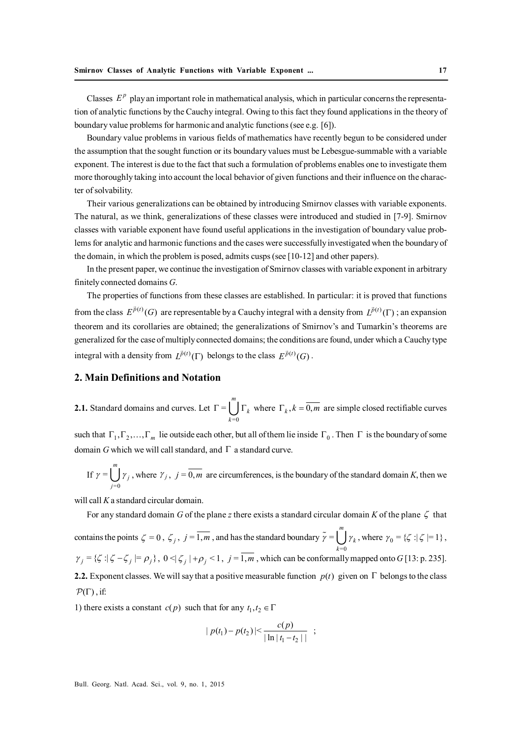Classes  $E^p$  play an important role in mathematical analysis, which in particular concerns the representation of analytic functions by the Cauchy integral. Owing to this fact they found applications in the theory of boundary value problems for harmonic and analytic functions (see e.g. [6]).

Boundary value problems in various fields of mathematics have recently begun to be considered under the assumption that the sought function or its boundary values must be Lebesgue-summable with a variable exponent. The interest is due to the fact that such a formulation of problems enables one to investigate them more thoroughly taking into account the local behavior of given functions and their influence on the character of solvability.

Their various generalizations can be obtained by introducing Smirnov classes with variable exponents. The natural, as we think, generalizations of these classes were introduced and studied in [7-9]. Smirnov classes with variable exponent have found useful applications in the investigation of boundary value problems for analytic and harmonic functions and the cases were successfully investigated when the boundary of the domain, in which the problem is posed, admits cusps (see [10-12] and other papers).

In the present paper, we continue the investigation of Smirnov classes with variable exponent in arbitrary finitely connected domains *G*.

The properties of functions from these classes are established. In particular: it is proved that functions from the class  $E^{\vec{p}(t)}(G)$  are representable by a Cauchy integral with a density from  $L^{\vec{p}(t)}(\Gamma)$ ; an expansion theorem and its corollaries are obtained; the generalizations of Smirnov's and Tumarkin's theorems are generalized for the case of multiply connected domains; the conditions are found, under which a Cauchy type integral with a density from  $L^{\vec{p}(t)}(\Gamma)$  belongs to the class  $E^{\vec{p}(t)}(G)$ .

#### **2. Main Definitions and Notation**

**2.1.** Standard domains and curves. Let  $=0$ = *m k*  $\Gamma = \bigcup_{k=0} \Gamma_k$  where  $\Gamma_k$ ,  $k = \overline{0,m}$  are simple closed rectifiable curves

such that  $\Gamma_1, \Gamma_2, \ldots, \Gamma_m$  lie outside each other, but all of them lie inside  $\Gamma_0$ . Then  $\Gamma$  is the boundary of some domain *G* which we will call standard, and  $\Gamma$  a standard curve.

If 
$$
\gamma = \bigcup_{j=0}^{m} \gamma_j
$$
, where  $\gamma_j$ ,  $j = \overline{0,m}$  are circumferences, is the boundary of the standard domain K, then we

will call *K* a standard circular domain.

For any standard domain *G* of the plane *z* there exists a standard circular domain *K* of the plane  $\zeta$  that contains the points  $\zeta = 0$ ,  $\zeta_j$ ,  $j = \overline{1,m}$ , and has the standard boundary  $\tilde{\gamma} =$  $_{k=0}$ *m*  $\tilde{\gamma} = \bigcup \gamma_k$ , where  $\gamma_0 = {\{\zeta : |\zeta| = 1\}}$ ,  $\gamma_j = {\zeta : |\zeta - \zeta_j| = \rho_j}, 0 \le |\zeta_j| + \rho_j \le 1, j = 1, m$ , which can be conformally mapped onto *G* [13: p. 235]. **2.2.** Exponent classes. We will say that a positive measurable function  $p(t)$  given on  $\Gamma$  belongs to the class  $\mathcal{P}(\Gamma)$ , if:

1) there exists a constant *c*(*p*) such that for any  $t_1, t_2 \in \Gamma$ 

$$
| p(t_1) - p(t_2) | \leq \frac{c(p)}{|\ln |t_1 - t_2|} ;
$$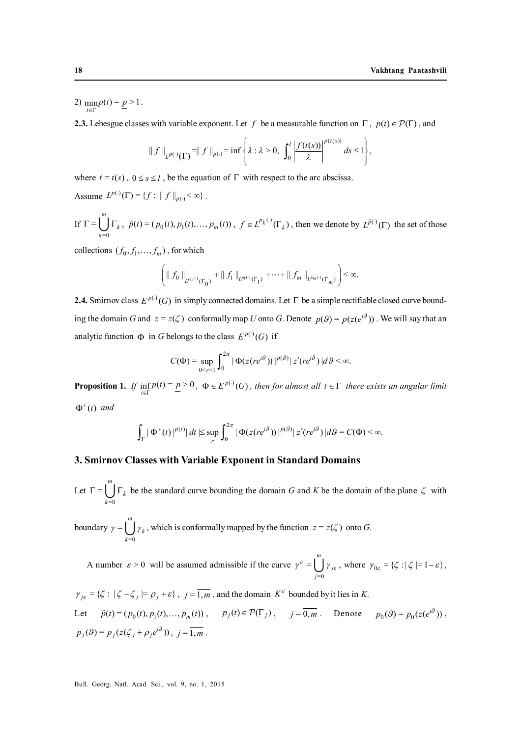2)  $\min_{t \in \Gamma} p(t) = p > 1$ .

**2.3.** Lebesgue classes with variable exponent. Let f be a measurable function on  $\Gamma$ ,  $p(t) \in \mathcal{P}(\Gamma)$ , and

$$
\|f\|_{L^{p(\cdot)}(\Gamma)} = \|f\|_{p(\cdot)} = \inf \left\{\lambda : \lambda > 0, \int_0^l \left|\frac{f(t(s))}{\lambda}\right|^{p(t(s))} ds \le 1\right\},\
$$

where  $t = t(s)$ ,  $0 \le s \le l$ , be the equation of  $\Gamma$  with respect to the arc abscissa.

Assume  $L^{p(\cdot)}(\Gamma) = \{f : ||f||_{p(\cdot)} < \infty\}$ .

If 
$$
\Gamma = \bigcup_{k=0}^{m} \Gamma_k
$$
,  $\vec{p}(t) = (p_0(t), p_1(t), \dots, p_m(t))$ ,  $f \in L^{p_k(\cdot)}(\Gamma_k)$ , then we denote by  $L^{\vec{p}(\cdot)}(\Gamma)$  the set of those

collections  $(f_0, f_1, \ldots, f_m)$ , for which

$$
\left( \left\| f_0 \right\|_{L^{p_0(\cdot)}(\Gamma_0)} + \left\| f_1 \right\|_{L^{p(\cdot)}(\Gamma_1)} + \dots + \left\| f_m \right\|_{L^{p_m(\cdot)}(\Gamma_m)} \right) < \infty.
$$

**2.4.** Smirnov class  $E^{p(\cdot)}(G)$  in simply connected domains. Let  $\Gamma$  be a simple rectifiable closed curve bounding the domain *G* and  $z = z(\zeta)$  conformally map *U* onto *G*. Denote  $p(\theta) = p(z(e^{i\theta}))$ . We will say that an analytic function  $\Phi$  in *G* belongs to the class  $E^{p(\cdot)}(G)$  if

$$
C(\Phi) = \sup_{0 \le r \le 1} \int_0^{2\pi} |\Phi(z(re^{i\theta}))|^{p(\theta)} |z'(re^{i\theta})| d\theta < \infty.
$$

**Proposition 1.** If  $\inf_{t \in \Gamma} p(t) = \underline{p} > 0$ ,  $\Phi \in E^{p(\cdot)}(G)$ , then for almost all  $t \in \Gamma$  there exists an angular limit  $\Phi^+(t)$  and

$$
\int_{\Gamma} |\Phi^+(t)|^{p(t)} | dt \leq \sup_{r} \int_0^{2\pi} |\Phi(z(re^{i\theta}))|^{p(\theta)} | z'(re^{i\theta}) | d\theta = C(\Phi) < \infty.
$$

#### **3. Smirnov Classes with Variable Exponent in Standard Domains**

Let  $=0$ = *m k*  $\Gamma = \bigcup_{k=0} \Gamma_k$  be the standard curve bounding the domain *G* and *K* be the domain of the plane  $\zeta$  with boundary  $=0$ = *m k*  $\gamma = \bigcup_{k=0} \gamma_k$ , which is conformally mapped by the function  $z = z(\zeta)$  onto *G*.

A number  $\varepsilon > 0$  will be assumed admissible if the curve  $=0$ = *m j j*  $\gamma^{\varepsilon} = \bigcup \gamma_{j\varepsilon}$ , where  $\gamma_{0\varepsilon} = {\{\zeta : |\zeta| = 1 - \varepsilon\}}$ ,

$$
\gamma_{j\varepsilon} = \{ \zeta : |\zeta - \zeta_j| = \rho_j + \varepsilon \}, \quad j = \overline{1, m}, \text{ and the domain } K^{\varepsilon} \text{ bounded by it lies in } K.
$$
  
Let  $\vec{p}(t) = (p_0(t), p_1(t), ..., p_m(t)), \qquad p_j(t) \in \mathcal{P}(\Gamma_j), \qquad j = \overline{0, m}.$  Denote  $p_0(9) = p_0(z(e^{i9}))$ ,  
 $p_j(9) = p_j(z(\zeta_j + \rho_j e^{i9}))$ ,  $j = \overline{1, m}.$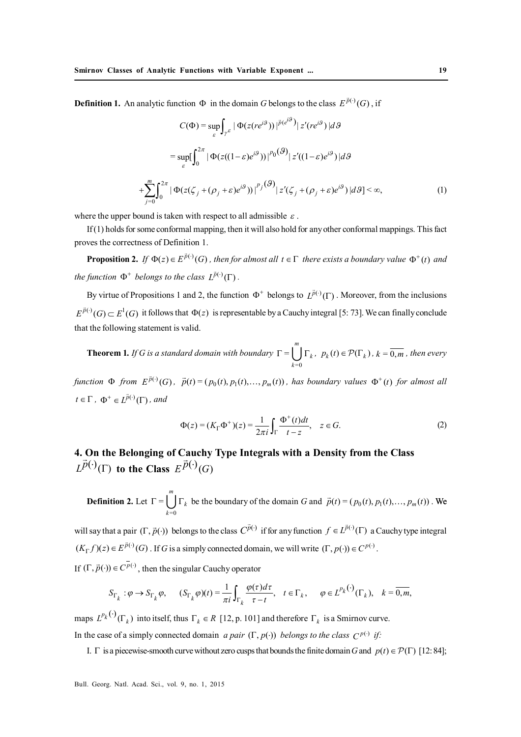**Definition 1.** An analytic function  $\Phi$  in the domain *G* belongs to the class  $E^{\vec{p}(\cdot)}(G)$ , if

$$
C(\Phi) = \sup_{\varepsilon} \int_{\gamma^{\varepsilon}} |\Phi(z(re^{i\theta}))|^{p(e^{i\theta})} |z'(re^{i\theta})| d\theta
$$
  

$$
= \sup_{\varepsilon} \int_{0}^{2\pi} |\Phi(z((1-\varepsilon)e^{i\theta}))|^{p_0(\mathcal{G})} |z'(1-\varepsilon)e^{i\theta})| d\theta
$$
  
+
$$
\sum_{j=0}^{m} \int_{0}^{2\pi} |\Phi(z(\zeta_j+(\rho_j+\varepsilon)e^{i\theta}))|^{p_j(\mathcal{G})} |z'(\zeta_j+(\rho_j+\varepsilon)e^{i\theta})| d\theta] < \infty,
$$
 (1)

where the upper bound is taken with respect to all admissible  $\varepsilon$ .

If (1) holds for some conformal mapping, then it will also hold for any other conformal mappings. This fact proves the correctness of Definition 1.

**Proposition 2.** If  $\Phi(z) \in E^{\bar{p}(\cdot)}(G)$ , then for almost all  $t \in \Gamma$  there exists a boundary value  $\Phi^+(t)$  and the function  $\Phi^+$  belongs to the class  $L^{\tilde{p}(\cdot)}(\Gamma)$ .

By virtue of Propositions 1 and 2, the function  $\Phi^+$  belongs to  $L^{\vec{p}(\cdot)}(\Gamma)$ . Moreover, from the inclusions  $E^{\vec{p}(.)}(G) \subset E^1(G)$  it follows that  $\Phi(z)$  is representable by a Cauchy integral [5: 73]. We can finally conclude that the following statement is valid.

**Theorem 1***. If G is a standard domain with boundary*   $=0$ = *m k*  $\Gamma = \bigcup_{k=0} \Gamma_k, \ p_k(t) \in \mathcal{P}(\Gamma_k), k = \overline{0,m}$ , then every

function  $\Phi$  from  $E^{\tilde{p}(\cdot)}(G)$ ,  $\tilde{p}(t) = (p_0(t), p_1(t),..., p_m(t))$ , has boundary values  $\Phi^+(t)$  for almost all  $t \in \Gamma$ ,  $\Phi^+ \in L^{\vec{p}(\cdot)}(\Gamma)$ , and

$$
\Phi(z) = (K_{\Gamma} \Phi^+) (z) = \frac{1}{2\pi i} \int_{\Gamma} \frac{\Phi^+(t)dt}{t - z}, \quad z \in G. \tag{2}
$$

**4. On the Belonging of Cauchy Type Integrals with a Density from the Class**  $L^{\vec{p}(\cdot)}(\Gamma)$  to the Class  $E^{\vec{p}(\cdot)}(G)$ 

**Definition 2.** Let  $=0$ = *m k*  $\Gamma = \bigcup_{k=0}^{m} \Gamma_k$  be the boundary of the domain *G* and  $\vec{p}(t) = (p_0(t), p_1(t), \dots, p_m(t))$ . We

will say that a pair  $(\Gamma, \vec{p}(\cdot))$  belongs to the class  $C^{\vec{p}(\cdot)}$  if for any function  $f \in L^{\vec{p}(\cdot)}(\Gamma)$  a Cauchy type integral  $(K_{\Gamma} f)(z) \in E^{\bar{p}(\cdot)}(G)$ . If *G* is a simply connected domain, we will write  $(\Gamma, p(\cdot)) \in C^{p(\cdot)}$ .

If  $(\Gamma, \vec{p}(\cdot)) \in C^{\overline{p}(\cdot)}$ , then the singular Cauchy operator

$$
S_{\Gamma_k} : \varphi \to S_{\Gamma_k} \varphi, \qquad (S_{\Gamma_k} \varphi)(t) = \frac{1}{\pi i} \int_{\Gamma_k} \frac{\varphi(\tau) d\tau}{\tau - t}, \quad t \in \Gamma_k, \qquad \varphi \in L^{p_k(\cdot)}(\Gamma_k), \quad k = \overline{0, m},
$$

maps  $L^{p_k}(\cdot)$   $(\Gamma_k)$  into itself, thus  $\Gamma_k \in R$  [12, p. 101] and therefore  $\Gamma_k$  is a Smirnov curve. In the case of a simply connected domain *a pair*  $(\Gamma, p(\cdot))$  *belongs to the class*  $C^{p(\cdot)}$  *if:* 

I.  $\Gamma$  is a piecewise-smooth curve without zero cusps that bounds the finite domain *G* and  $p(t) \in \mathcal{P}(\Gamma)$  [12: 84];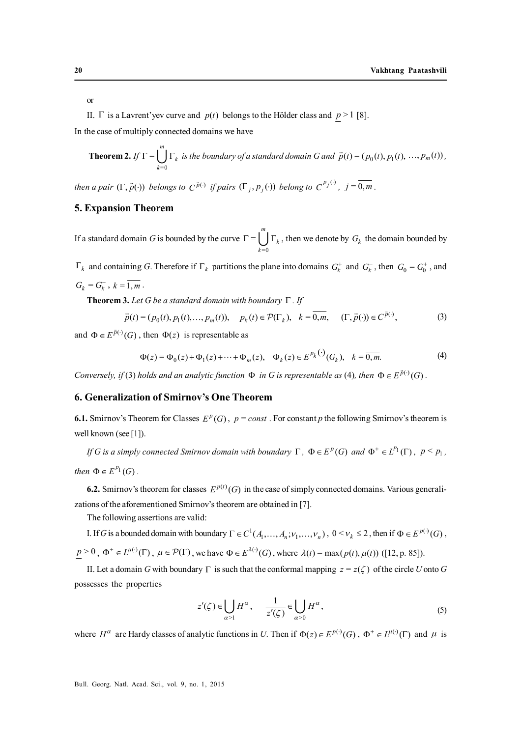or

II.  $\Gamma$  is a Lavrent'yev curve and  $p(t)$  belongs to the Hölder class and  $p > 1$  [8].

In the case of multiply connected domains we have

**Theorem 2.** If 
$$
\Gamma = \bigcup_{k=0}^{m} \Gamma_k
$$
 is the boundary of a standard domain G and  $\vec{p}(t) = (p_0(t), p_1(t), ..., p_m(t))$ ,

*then a pair*  $(\Gamma, \vec{p}(\cdot))$  *belongs to*  $C^{\vec{p}(\cdot)}$  *if pairs*  $(\Gamma_j, p_j(\cdot))$  *belong to*  $C^{p_j(\cdot)}$ *,*  $j = \overline{0, m}$ .

#### **5. Expansion Theorem**

If a standard domain *G* is bounded by the curve  $\Gamma$  =  $=0$ *m*  $\Gamma = \bigcup \Gamma_k$ , then we denote by  $G_k$  the domain bounded by *k*

 $\Gamma_k$  and containing *G*. Therefore if  $\Gamma_k$  partitions the plane into domains  $G_k^+$  and  $G_k^-$ , then  $G_0 = G_0^+$ , and  $G_k = G_k^-$ ,  $k = \overline{1, m}$ .

**Theorem 3.** Let G be a standard domain with boundary  $\Gamma$  . If

$$
\vec{p}(t) = (p_0(t), p_1(t), \dots, p_m(t)), \quad p_k(t) \in \mathcal{P}(\Gamma_k), \quad k = \overline{0, m}, \quad (\Gamma, \vec{p}(\cdot)) \in C^{\vec{p}(\cdot)}, \tag{3}
$$

and  $\Phi \in E^{\vec{p}(\cdot)}(G)$ , then  $\Phi(z)$  is representable as

$$
\Phi(z) = \Phi_0(z) + \Phi_1(z) + \dots + \Phi_m(z), \quad \Phi_k(z) \in E^{P_k(\cdot)}(G_k), \quad k = \overline{0, m}.
$$
 (4)

*Conversely, if* (3) *holds and an analytic function*  $\Phi$  *in G is representable as* (4)*, then*  $\Phi \in E^{\vec{p}(\cdot)}(G)$ .

#### **6. Generalization of Smirnov's One Theorem**

**6.1.** Smirnov's Theorem for Classes  $E^p(G)$ ,  $p = const$ . For constant *p* the following Smirnov's theorem is well known (see [1]).

*If* G is a simply connected Smirnov domain with boundary  $\Gamma$  ,  $\Phi \in E^p(G)$  and  $\Phi^+ \in L^{p_1}(\Gamma)$  ,  $p \leq p_1$ , *then*  $\Phi \in E^{p_1}(G)$ .

**6.2.** Smirnov's theorem for classes  $E^{p(t)}(G)$  in the case of simply connected domains. Various generalizations of the aforementioned Smirnov's theorem are obtained in [7].

The following assertions are valid:

I. If *G* is a bounded domain with boundary  $\Gamma \in C^1(A_1, \ldots, A_n; v_1, \ldots, v_n)$ ,  $0 \le v_k \le 2$ , then if  $\Phi \in E^{p(\cdot)}(G)$ ,  $p > 0$ ,  $\Phi^+ \in L^{\mu(\cdot)}(\Gamma)$ ,  $\mu \in \mathcal{P}(\Gamma)$ , we have  $\Phi \in E^{\lambda(\cdot)}(G)$ , where  $\lambda(t) = \max(p(t), \mu(t))$  ([12, p. 85]).

II. Let a domain *G* with boundary  $\Gamma$  is such that the conformal mapping  $z = z(\zeta)$  of the circle *U* onto *G* possesses the properties

$$
z'(\zeta) \in \bigcup_{\alpha > 1} H^{\alpha}, \quad \frac{1}{z'(\zeta)} \in \bigcup_{\alpha > 0} H^{\alpha}, \tag{5}
$$

where  $H^{\alpha}$  are Hardy classes of analytic functions in *U*. Then if  $\Phi(z) \in E^{p(\cdot)}(G)$ ,  $\Phi^+ \in L^{\mu(\cdot)}(\Gamma)$  and  $\mu$  is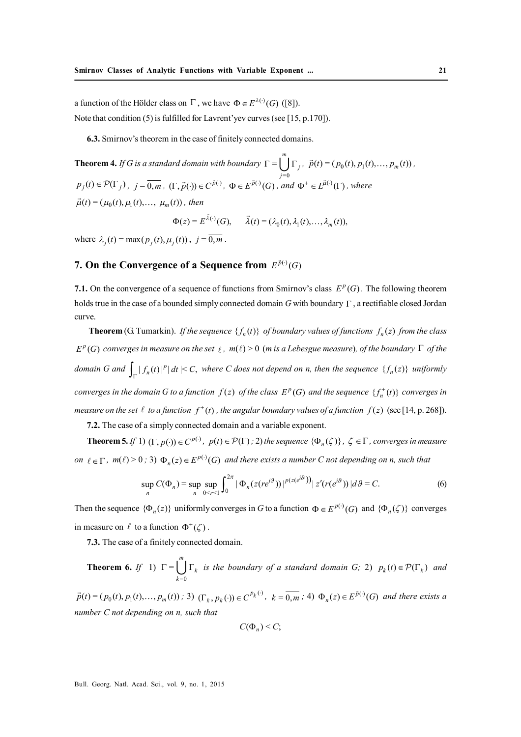a function of the Hölder class on  $\Gamma$ , we have  $\Phi \in E^{\lambda(\cdot)}(G)$  ([8]). Note that condition (5) is fulfilled for Lavrent'yev curves (see [15, p.170]).

**6.3.** Smirnov's theorem in the case of finitely connected domains.

**Theorem 4.** *If G is a standard domain with boundary*   $=0$ = *m j*  $\Gamma = \bigcup_{j=0}^{m} \Gamma_j$ ,  $\vec{p}(t) = (p_0(t), p_1(t), \dots, p_m(t))$ ,  $p_j(t) \in \mathcal{P}(\Gamma_j)$ ,  $j = \overline{0,m}$ ,  $(\Gamma, \vec{p}(\cdot)) \in C^{\vec{p}(\cdot)}$ ,  $\Phi \in E^{\vec{p}(\cdot)}(G)$ , and  $\Phi^+ \in L^{\vec{\mu}(\cdot)}(\Gamma)$ , where  $\vec{\mu}(t) = (\mu_0(t), \mu_1(t), \dots, \mu_m(t))$ , then

 $\Phi(z) = E^{\vec{\lambda}(\cdot)}(G), \quad \vec{\lambda}(t) = (\lambda_0(t), \lambda_1(t), \dots, \lambda_m(t)),$ . . .

where  $\lambda_i(t) = \max(p_i(t), \mu_i(t))$ ,  $i = \overline{0, m}$ .

## **7. On the Convergence of a Sequence from**  $E^{\tilde{p}(\cdot)}(G)$

**7.1.** On the convergence of a sequence of functions from Smirnov's class  $E^p(G)$ . The following theorem holds true in the case of a bounded simply connected domain  $G$  with boundary  $\Gamma$ , a rectifiable closed Jordan curve.

**Theorem** (G. Tumarkin). *If the sequence*  $\{f_n(t)\}$  *of boundary values of functions*  $f_n(z)$  *from the class*  $E^p(G)$  converges in measure on the set  $\ell$ ,  $m(\ell) > 0$  (m is a Lebesgue measure), of the boundary  $\Gamma$  of the domain G and  $\int_{\Gamma} |f_n(t)|^p |dt| \leq C$ , where C does not depend on n, then the sequence  $\{f_n(z)\}$  uniformly *converges in the domain G to a function*  $f(z)$  *of the class*  $E^p(G)$  *and the sequence*  $\{f^+_n(t)\}$  *converges in* measure on the set  $\ell$  to a function  $f^+(t)$  , the angular boundary values of a function  $f(z)$  (see [14, p. 268]).

**7.2.** The case of a simply connected domain and a variable exponent.

**Theorem 5.** *If* 1)  $(\Gamma, p(\cdot)) \in C^{p(\cdot)}$ ,  $p(t) \in \mathcal{P}(\Gamma)$ ; 2) the sequence  $\{\Phi_n(\zeta)\}\,$ ,  $\zeta \in \Gamma$ , converges in measure *on*  $\ell \in \Gamma$ ,  $m(\ell) > 0$ ; 3)  $\Phi_n(z) \in E^{p(\cdot)}(G)$  and there exists a number C not depending on n, such that

$$
\sup_{n} C(\Phi_{n}) = \sup_{n} \sup_{0 \le r \le 1} \int_{0}^{2\pi} |\Phi_{n}(z(re^{i\theta}))|^{p(z(e^{i\theta}))} |z'(r(e^{i\theta}))| d\theta = C.
$$
 (6)

Then the sequence  $\{\Phi_n(z)\}\$  uniformly converges in *G* to a function  $\Phi \in E^{p(\cdot)}(G)$  and  $\{\Phi_n(\zeta)\}\$  converges in measure on  $\ell$  to a function  $\Phi^+(\zeta)$ .

**7.3.** The case of a finitely connected domain.

**Theorem 6.** *If* 1)  $=0$ = *m k*  $\Gamma = \bigcup_{k=0} \Gamma_k$  *is the boundary of a standard domain G;* 2)  $p_k(t) \in \mathcal{P}(\Gamma_k)$  *and* 

 $\vec{p}(t) = (p_0(t), p_1(t), \dots, p_m(t))$ ; 3)  $(\Gamma_k, p_k(\cdot)) \in C^{p_k(\cdot)}$ ,  $k = \overline{0, m}$ ; 4)  $\Phi_n(z) \in E^{\vec{p}(\cdot)}(G)$  and there exists a *number C not depending on n, such that*

$$
C(\Phi_n)\leq C;
$$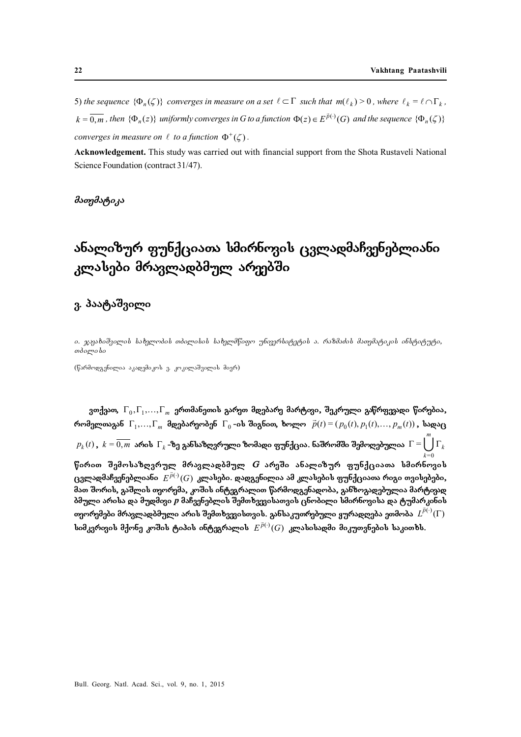5) the sequence  $\{\Phi_n(\zeta)\}\)$  converges in measure on a set  $\ell \subset \Gamma$  such that  $m(\ell_k) > 0$ , where  $\ell_k = \ell \cap \Gamma_k$ ,  $k = \overline{0,m}$  , then  $\{\Phi_n(z)\}\$  uniformly converges in G to a function  $\Phi(z) \in E^{\vec{p}(\cdot)}(G)$  and the sequence  $\{\Phi_n(\zeta)\}\$ *converges in measure on*  $\ell$  *to a function*  $\Phi^+(\zeta)$ .

**Acknowledgement.** This study was carried out with financial support from the Shota Rustaveli National Science Foundation (contract 31/47).

*maTematika*

## ანალიზურ ფუნქციათა სმირნოვის ცვლადმაჩვენებლიანი კლასები მრავლადბმულ არ<del>ე</del>ებში

### ვ. პაატაშვილი

*i. ჯაკახიშვილის სახელობის თბილისის სახელმწიფო უნფერსიტეტის ა. რაზმაძის მათემატიკის ინსტიტუტი, Tbilisi*

 $(f$ არმოღგენილია აკაღემიკოს ვ. კოკილაშვილის მიერ)

ვთქვათ,  $\Gamma_0, \Gamma_1, \ldots, \Gamma_m$  ერთმანეთის გარეთ მდებარე მარტივი, შეკრული გაწრფევადი წირებია, რომელთაგან  $\Gamma_1, ..., \Gamma_m$  მღებარეობენ  $\Gamma_0$ -ის შიგნით, ხოლო  $\vec{p}(t) = (p_0(t), p_1(t), ..., p_m(t))$ , საღაც  $p_k(t)$  ,  $\,k=0,m\,$  არის  $\, \Gamma_k$  -ზე განსაზღვრული ზომადი ფუნქცია. ნაშრომში შემოღებულია  $\, \Gamma =$  $=0$ *m*  $\Gamma = \bigcup \Gamma_k$ *k* წირით შემოსაზღვრულ მრავლადბმულ *G* არეში ანალიზურ ფუნქციათა სმირნოვის **cvladmaCvenebliani** ( ) ( ) *<sup>p</sup> E G*  **klasebi. dadgenilia am klasebis funqciaTa rigi Tvisebebi,** მათ შორის, გაშლის თეორემა, კოშის ინტეგრალით წარმოდგენადობა, განზოგადებულია მარტიგად ბმული არისა და მუდმივი *p* მაჩვენებლის შემთხვევისათვის ცნობილი სმირნოვისა და ტუმარ<sub>კ</sub>ინის თეორემები მრავლადბმული არის შემთხვევისთვის. განსაკუთრებული ყურადღება ეთმობა  $\,L^{\vec{p}(\cdot)}(\Gamma) \,$ **simkvrivis mqone koSis tipis integralis** ( ) ( ) *<sup>p</sup> E G*  **klasisadmi mikuTvnebis sakiTxs.**